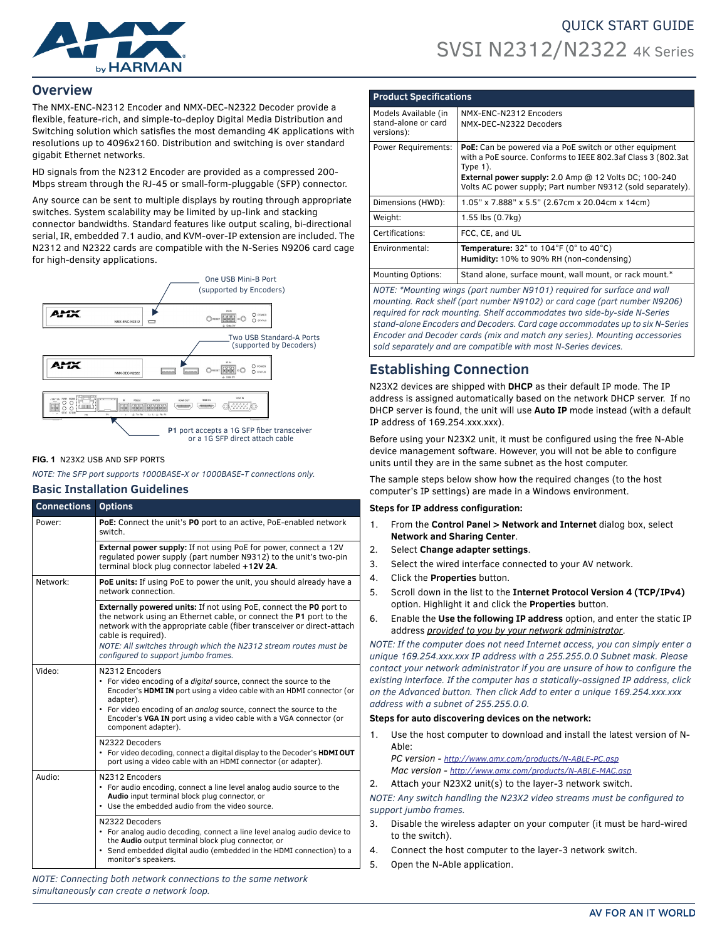

# QUICK START GUIDE SVSI N2312/N2322 4K Series

### **Overview**

The NMX-ENC-N2312 Encoder and NMX-DEC-N2322 Decoder provide a flexible, feature-rich, and simple-to-deploy Digital Media Distribution and Switching solution which satisfies the most demanding 4K applications with resolutions up to 4096x2160. Distribution and switching is over standard gigabit Ethernet networks.

HD signals from the N2312 Encoder are provided as a compressed 200- Mbps stream through the RJ-45 or small-form-pluggable (SFP) connector.

Any source can be sent to multiple displays by routing through appropriate switches. System scalability may be limited by up-link and stacking connector bandwidths. Standard features like output scaling, bi-directional serial, IR, embedded 7.1 audio, and KVM-over-IP extension are included. The N2312 and N2322 cards are compatible with the N-Series N9206 card cage for high-density applications.



#### **FIG. 1** N23X2 USB AND SFP PORTS

*NOTE: The SFP port supports 1000BASE-X or 1000BASE-T connections only.*

### **Basic Installation Guidelines**

| <b>Connections</b>   | <b>Options</b>                                                                                                                                                                                                                                                                                                                                              |
|----------------------|-------------------------------------------------------------------------------------------------------------------------------------------------------------------------------------------------------------------------------------------------------------------------------------------------------------------------------------------------------------|
| Power:               | PoE: Connect the unit's PO port to an active, PoE-enabled network<br>switch                                                                                                                                                                                                                                                                                 |
|                      | <b>External power supply:</b> If not using PoE for power, connect a 12V<br>regulated power supply (part number N9312) to the unit's two-pin<br>terminal block plug connector labeled +12V 2A.                                                                                                                                                               |
| Network <sup>.</sup> | <b>PoE units:</b> If using PoE to power the unit, you should already have a<br>network connection                                                                                                                                                                                                                                                           |
|                      | <b>Externally powered units:</b> If not using PoE, connect the PO port to<br>the network using an Ethernet cable, or connect the P1 port to the<br>network with the appropriate cable (fiber transceiver or direct-attach<br>cable is required).<br>NOTE: All switches through which the N2312 stream routes must be<br>configured to support jumbo frames. |
| Video:               | N2312 Encoders<br>• For video encoding of a <i>digital</i> source, connect the source to the<br>Encoder's HDMI IN port using a video cable with an HDMI connector (or<br>adapter).<br>• For video encoding of an analog source, connect the source to the<br>Encoder's VGA IN port using a video cable with a VGA connector (or<br>component adapter).      |
|                      | N2322 Decoders<br>• For video decoding, connect a digital display to the Decoder's <b>HDMIOUT</b><br>port using a video cable with an HDMI connector (or adapter).                                                                                                                                                                                          |
| Audio:               | N2312 Encoders<br>• For audio encoding, connect a line level analog audio source to the<br>Audio input terminal block plug connector, or<br>Use the embedded audio from the video source.<br>۰                                                                                                                                                              |
|                      | N2322 Decoders<br>• For analog audio decoding, connect a line level analog audio device to<br>the Audio output terminal block plug connector, or<br>• Send embedded digital audio (embedded in the HDMI connection) to a<br>monitor's speakers.                                                                                                             |

*NOTE: Connecting both network connections to the same network simultaneously can create a network loop.* 

| <b>Product Specifications</b>               |                                                                                                                                                                                                                                                                |  |  |
|---------------------------------------------|----------------------------------------------------------------------------------------------------------------------------------------------------------------------------------------------------------------------------------------------------------------|--|--|
| Models Available (in<br>stand-alone or card | NMX-ENC-N2312 Encoders<br>NMX-DEC-N2322 Decoders                                                                                                                                                                                                               |  |  |
| versions):                                  |                                                                                                                                                                                                                                                                |  |  |
| Power Requirements:                         | PoE: Can be powered via a PoE switch or other equipment<br>with a PoE source. Conforms to IEEE 802.3af Class 3 (802.3at<br>Type $1$ ).<br>External power supply: 2.0 Amp @ 12 Volts DC; 100-240<br>Volts AC power supply; Part number N9312 (sold separately). |  |  |
|                                             |                                                                                                                                                                                                                                                                |  |  |
| Dimensions (HWD):                           | 1.05" x 7.888" x 5.5" (2.67cm x 20.04cm x 14cm)                                                                                                                                                                                                                |  |  |
| Weight:                                     | 1.55 lbs (0.7kg)                                                                                                                                                                                                                                               |  |  |
| Certifications:                             | FCC, CE, and UL                                                                                                                                                                                                                                                |  |  |
| Environmental:                              | Temperature: $32^\circ$ to $104^\circ$ F (0° to $40^\circ$ C)                                                                                                                                                                                                  |  |  |
|                                             | Humidity: 10% to 90% RH (non-condensing)                                                                                                                                                                                                                       |  |  |
| <b>Mounting Options:</b>                    | Stand alone, surface mount, wall mount, or rack mount.*                                                                                                                                                                                                        |  |  |
|                                             |                                                                                                                                                                                                                                                                |  |  |

*NOTE: \*Mounting wings (part number N9101) required for surface and wall mounting. Rack shelf (part number N9102) or card cage (part number N9206) required for rack mounting. Shelf accommodates two side-by-side N-Series stand-alone Encoders and Decoders. Card cage accommodates up to six N-Series Encoder and Decoder cards (mix and match any series). Mounting accessories sold separately and are compatible with most N-Series devices.* 

# **Establishing Connection**

N23X2 devices are shipped with **DHCP** as their default IP mode. The IP address is assigned automatically based on the network DHCP server. If no DHCP server is found, the unit will use **Auto IP** mode instead (with a default IP address of 169.254.xxx.xxx).

Before using your N23X2 unit, it must be configured using the free N-Able device management software. However, you will not be able to configure units until they are in the same subnet as the host computer.

The sample steps below show how the required changes (to the host computer's IP settings) are made in a Windows environment.

#### **Steps for IP address configuration:**

- 1. From the **Control Panel > Network and Internet** dialog box, select **Network and Sharing Center**.
- 2. Select **Change adapter settings**.
- 3. Select the wired interface connected to your AV network.
- 4. Click the **Properties** button.
- 5. Scroll down in the list to the **Internet Protocol Version 4 (TCP/IPv4)** option. Highlight it and click the **Properties** button.
- 6. Enable the **Use the following IP address** option, and enter the static IP address *provided to you by your network administrator*.

*NOTE: If the computer does not need Internet access, you can simply enter a unique 169.254.xxx.xxx IP address with a 255.255.0.0 Subnet mask. Please contact your network administrator if you are unsure of how to configure the existing interface. If the computer has a statically-assigned IP address, click on the Advanced button. Then click Add to enter a unique 169.254.xxx.xxx address with a subnet of 255.255.0.0.*

#### **Steps for auto discovering devices on the network:**

1. Use the host computer to download and install the latest version of N-Able:

*PC version - http://www.amx.com/products/N-ABLE-PC.asp Mac version - http://www.amx.com/products/N-ABLE-MAC.asp*

2. Attach your N23X2 unit(s) to the layer-3 network switch.

*NOTE: Any switch handling the N23X2 video streams must be configured to support jumbo frames.*

- 3. Disable the wireless adapter on your computer (it must be hard-wired to the switch).
- 4. Connect the host computer to the layer-3 network switch.
- 5. Open the N-Able application.